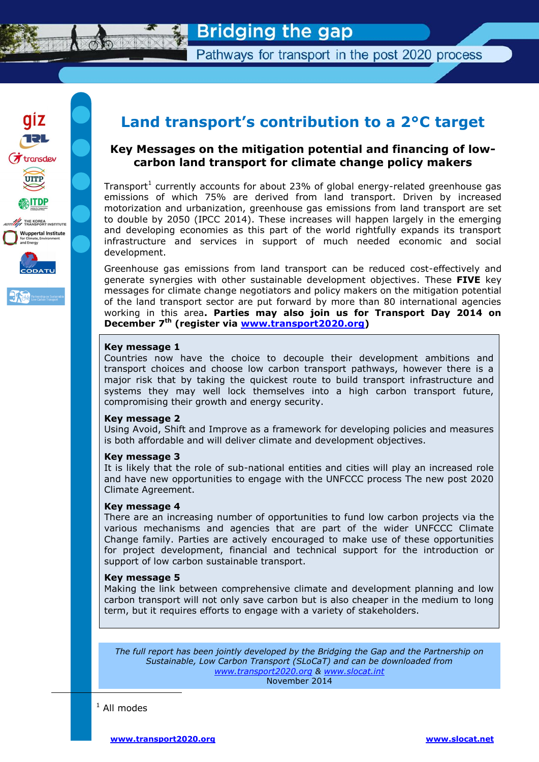

Pathways for transport in the post 2020 process



# **Land transport's contribution to a 2°C target**

# **Key Messages on the mitigation potential and financing of lowcarbon land transport for climate change policy makers**

Transport<sup>1</sup> currently accounts for about 23% of global energy-related greenhouse gas emissions of which 75% are derived from land transport. Driven by increased motorization and urbanization, greenhouse gas emissions from land transport are set to double by 2050 (IPCC 2014). These increases will happen largely in the emerging and developing economies as this part of the world rightfully expands its transport infrastructure and services in support of much needed economic and social development.

Greenhouse gas emissions from land transport can be reduced cost-effectively and generate synergies with other sustainable development objectives. These **FIVE** key messages for climate change negotiators and policy makers on the mitigation potential of the land transport sector are put forward by more than 80 international agencies working in this area**. Parties may also join us for Transport Day 2014 on December 7th (register via [www.transport2020.org\)](http://www.transport2020.org/)**

### **Key message 1**

Countries now have the choice to decouple their development ambitions and transport choices and choose low carbon transport pathways, however there is a major risk that by taking the quickest route to build transport infrastructure and systems they may well lock themselves into a high carbon transport future, compromising their growth and energy security.

### **Key message 2**

Using Avoid, Shift and Improve as a framework for developing policies and measures is both affordable and will deliver climate and development objectives.

## **Key message 3**

It is likely that the role of sub-national entities and cities will play an increased role and have new opportunities to engage with the UNFCCC process The new post 2020 Climate Agreement.

### **Key message 4**

There are an increasing number of opportunities to fund low carbon projects via the various mechanisms and agencies that are part of the wider UNFCCC Climate Change family. Parties are actively encouraged to make use of these opportunities for project development, financial and technical support for the introduction or support of low carbon sustainable transport.

## **Key message 5**

Making the link between comprehensive climate and development planning and low carbon transport will not only save carbon but is also cheaper in the medium to long term, but it requires efforts to engage with a variety of stakeholders.

*The full report has been jointly developed by the Bridging the Gap and the Partnership on Sustainable, Low Carbon Transport (SLoCaT) and can be downloaded from [www.transport2020.org](http://www.transport2020.org/) & [www.slocat.int](http://www.slocat.int/)* November 2014

 $1$  All modes

-